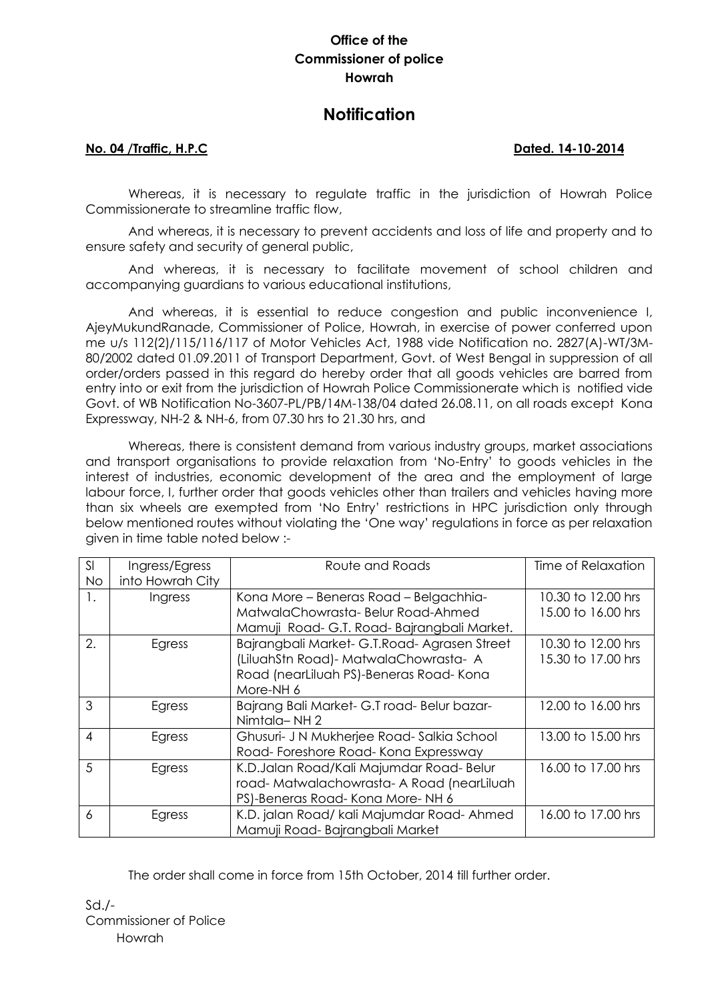## **Office of the Commissioner of police Howrah**

# **Notification**

### **No. 04 /Traffic, H.P.C Dated. 14-10-2014**

Whereas, it is necessary to regulate traffic in the jurisdiction of Howrah Police Commissionerate to streamline traffic flow,

And whereas, it is necessary to prevent accidents and loss of life and property and to ensure safety and security of general public,

And whereas, it is necessary to facilitate movement of school children and accompanying guardians to various educational institutions,

And whereas, it is essential to reduce congestion and public inconvenience I, AjeyMukundRanade, Commissioner of Police, Howrah, in exercise of power conferred upon me u/s 112(2)/115/116/117 of Motor Vehicles Act, 1988 vide Notification no. 2827(A)-WT/3M-80/2002 dated 01.09.2011 of Transport Department, Govt. of West Bengal in suppression of all order/orders passed in this regard do hereby order that all goods vehicles are barred from entry into or exit from the jurisdiction of Howrah Police Commissionerate which is notified vide Govt. of WB Notification No-3607-PL/PB/14M-138/04 dated 26.08.11, on all roads except Kona Expressway, NH-2 & NH-6, from 07.30 hrs to 21.30 hrs, and

Whereas, there is consistent demand from various industry groups, market associations and transport organisations to provide relaxation from 'No-Entry' to goods vehicles in the interest of industries, economic development of the area and the employment of large labour force, I, further order that goods vehicles other than trailers and vehicles having more than six wheels are exempted from 'No Entry' restrictions in HPC jurisdiction only through below mentioned routes without violating the 'One way' regulations in force as per relaxation given in time table noted below :-

| SI<br><b>No</b> | Ingress/Egress<br>into Howrah City | Route and Roads                                                                                                                                | Time of Relaxation                       |
|-----------------|------------------------------------|------------------------------------------------------------------------------------------------------------------------------------------------|------------------------------------------|
| 1.              | Ingress                            | Kona More - Beneras Road - Belgachhia-<br>MatwalaChowrasta-Belur Road-Ahmed<br>Mamuji Road-G.T. Road-Bajrangbali Market.                       | 10.30 to 12.00 hrs<br>15.00 to 16.00 hrs |
| 2.              | Egress                             | Bajrangbali Market- G.T.Road- Agrasen Street<br>(LiluahStn Road) - MatwalaChowrasta - A<br>Road (nearLiluah PS)-Beneras Road-Kona<br>More-NH 6 | 10.30 to 12.00 hrs<br>15.30 to 17.00 hrs |
| 3               | Egress                             | Bajrang Bali Market- G.T road- Belur bazar-<br>Nimtala-NH2                                                                                     | 12.00 to 16.00 hrs                       |
| $\overline{4}$  | Egress                             | Ghusuri- J N Mukherjee Road-Salkia School<br>Road-Foreshore Road-Kona Expressway                                                               | 13.00 to 15.00 hrs                       |
| 5               | Egress                             | K.D.Jalan Road/Kali Majumdar Road-Belur<br>road-Matwalachowrasta-A Road (nearLiluah<br>PS)-Beneras Road-Kona More-NH 6                         | 16.00 to 17.00 hrs                       |
| 6               | Egress                             | K.D. jalan Road/ kali Majumdar Road- Ahmed<br>Mamuji Road-Bajrangbali Market                                                                   | 16.00 to 17.00 hrs                       |

The order shall come in force from 15th October, 2014 till further order.